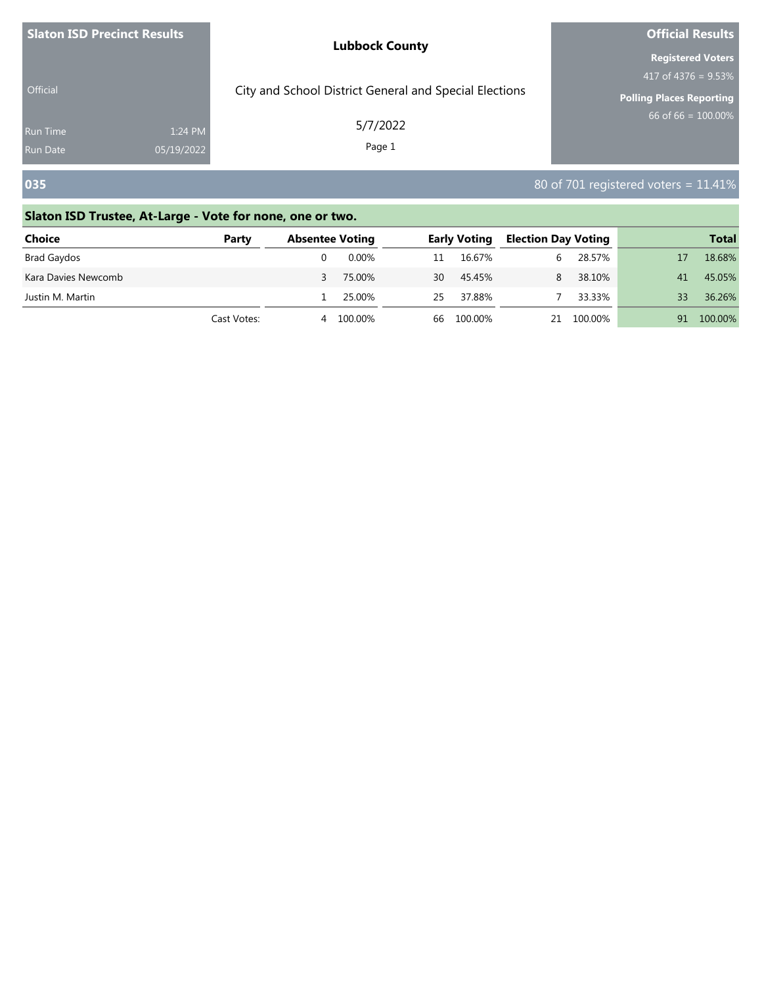| <b>Slaton ISD Precinct Results</b> |                       | <b>Lubbock County</b>                                  | <b>Official Results</b>                                                               |  |  |
|------------------------------------|-----------------------|--------------------------------------------------------|---------------------------------------------------------------------------------------|--|--|
| <b>Official</b>                    |                       | City and School District General and Special Elections | <b>Registered Voters</b><br>417 of $4376 = 9.53\%$<br><b>Polling Places Reporting</b> |  |  |
| <b>Run Time</b><br><b>Run Date</b> | 1:24 PM<br>05/19/2022 | 5/7/2022<br>Page 1                                     | $66$ of 66 = 100.00%                                                                  |  |  |
| 035                                |                       |                                                        | 80 of 701 registered voters = $11.41\%$                                               |  |  |

| <b>Choice</b>       | Party       | <b>Absentee Voting</b> |         |    | <b>Early Voting</b> | <b>Election Day Voting</b> |            |    | <b>Total</b> |
|---------------------|-------------|------------------------|---------|----|---------------------|----------------------------|------------|----|--------------|
| Brad Gaydos         |             |                        | 0.00%   | 11 | 16.67%              | h                          | 28.57%     |    | 18.68%       |
| Kara Davies Newcomb |             |                        | 75.00%  | 30 | 45.45%              | 8                          | 38.10%     | 41 | 45.05%       |
| Justin M. Martin    |             |                        | 25.00%  | 25 | 37.88%              |                            | 33.33%     | 33 | 36.26%       |
|                     | Cast Votes: | 4                      | 100.00% | 66 | 100.00%             |                            | 21 100.00% | 91 | 100.00%      |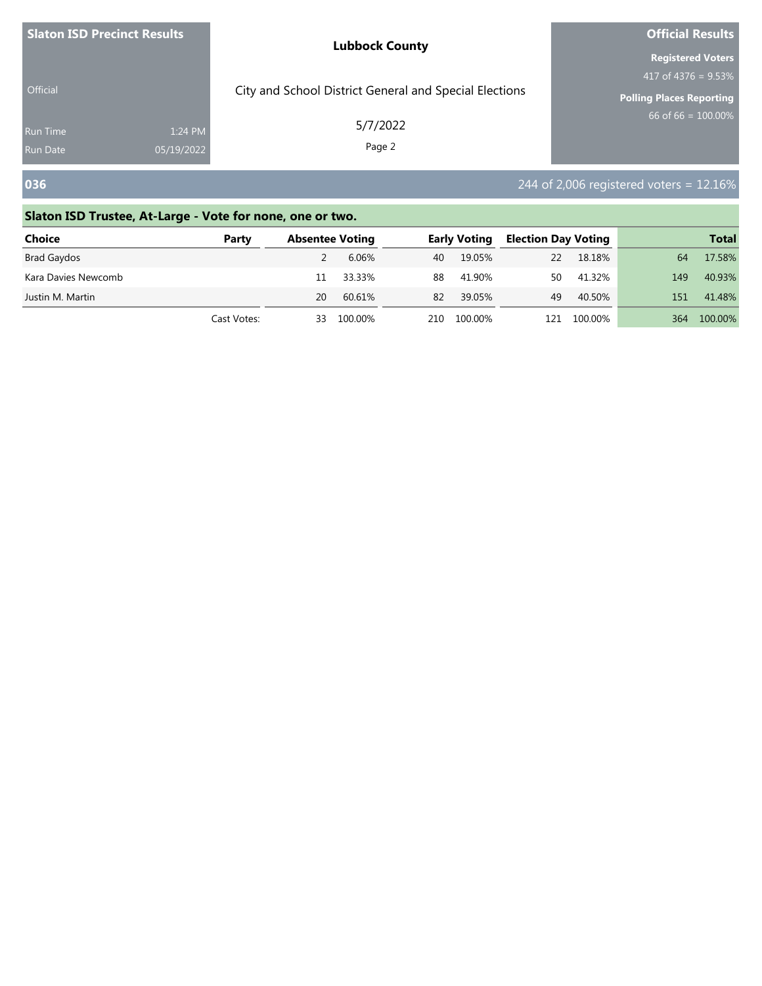| <b>Slaton ISD Precinct Results</b> |                       | <b>Lubbock County</b>                                  | <b>Official Results</b>                                                               |
|------------------------------------|-----------------------|--------------------------------------------------------|---------------------------------------------------------------------------------------|
| <b>Official</b>                    |                       | City and School District General and Special Elections | <b>Registered Voters</b><br>417 of 4376 = $9.53\%$<br><b>Polling Places Reporting</b> |
| <b>Run Time</b><br><b>Run Date</b> | 1:24 PM<br>05/19/2022 | 5/7/2022<br>Page 2                                     | 66 of $66 = 100.00\%$                                                                 |
| 036                                |                       |                                                        | 244 of 2,006 registered voters = $12.16\%$                                            |

| <b>Choice</b>       | Party       |    | <b>Absentee Voting</b> |     | <b>Early Voting</b> | <b>Election Day Voting</b> |         |     | <b>Total</b> |
|---------------------|-------------|----|------------------------|-----|---------------------|----------------------------|---------|-----|--------------|
| Brad Gaydos         |             |    | 6.06%                  | 40  | 19.05%              | 22                         | 18.18%  | 64  | 17.58%       |
| Kara Davies Newcomb |             | 11 | 33.33%                 | 88  | 41.90%              | 50                         | 41.32%  | 149 | 40.93%       |
| Justin M. Martin    |             | 20 | 60.61%                 | 82  | 39.05%              | 49                         | 40.50%  | 151 | 41.48%       |
|                     | Cast Votes: | 33 | 100.00%                | 210 | 100.00%             | 121                        | 100.00% | 364 | 100.00%      |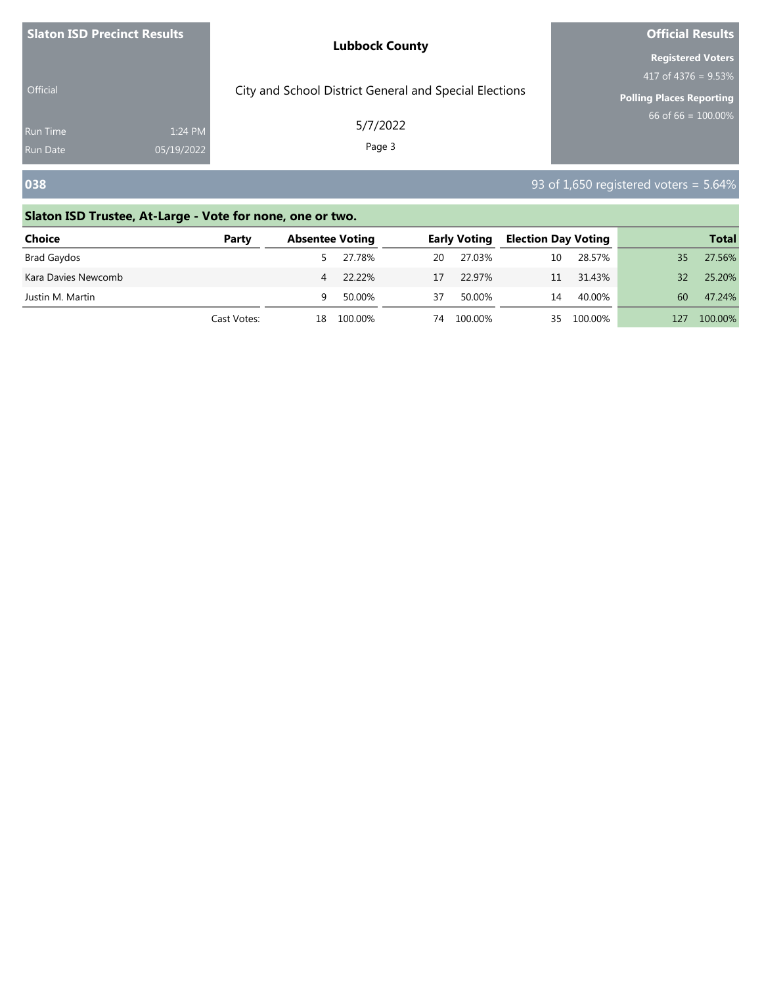| <b>Slaton ISD Precinct Results</b> |                       | <b>Lubbock County</b>                                  | <b>Official Results</b><br><b>Registered Voters</b>       |  |  |
|------------------------------------|-----------------------|--------------------------------------------------------|-----------------------------------------------------------|--|--|
| <b>Official</b>                    |                       | City and School District General and Special Elections | 417 of 4376 = $9.53\%$<br><b>Polling Places Reporting</b> |  |  |
| <b>Run Time</b><br><b>Run Date</b> | 1:24 PM<br>05/19/2022 | 5/7/2022<br>Page 3                                     | 66 of $66 = 100.00\%$                                     |  |  |
| 038                                |                       |                                                        | 93 of 1,650 registered voters = $5.64\%$                  |  |  |

| <b>Choice</b>       | Party       |    | <b>Absentee Voting</b> |    | <b>Early Voting</b> | <b>Election Day Voting</b> |            |     | <b>Total</b> |
|---------------------|-------------|----|------------------------|----|---------------------|----------------------------|------------|-----|--------------|
| Brad Gaydos         |             |    | 27.78%                 | 20 | 27.03%              | 10                         | 28.57%     | 35  | 27.56%       |
| Kara Davies Newcomb |             |    | 4 22.22%               | 17 | 22 97%              | 11                         | 31.43%     | 32  | 25.20%       |
| Justin M. Martin    |             | q  | 50.00%                 | 37 | 50.00%              | 14                         | 40.00%     | 60  | 47.24%       |
|                     | Cast Votes: | 18 | 100.00%                | 74 | 100.00%             |                            | 35 100.00% | 127 | 100.00%      |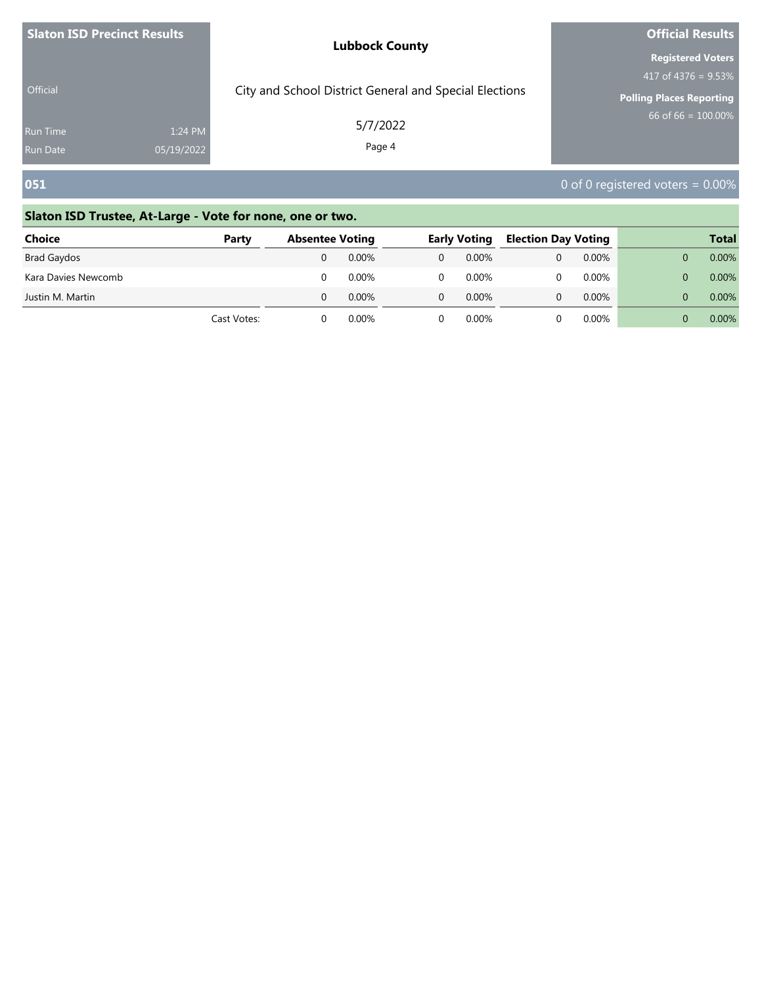| <b>Slaton ISD Precinct Results</b> |            | <b>Lubbock County</b>                                  | <b>Official Results</b>                            |  |  |
|------------------------------------|------------|--------------------------------------------------------|----------------------------------------------------|--|--|
|                                    |            |                                                        | <b>Registered Voters</b><br>417 of $4376 = 9.53\%$ |  |  |
| Official                           |            | City and School District General and Special Elections | <b>Polling Places Reporting</b>                    |  |  |
| <b>Run Time</b>                    | 1:24 PM    | 5/7/2022                                               | 66 of $66 = 100.00\%$                              |  |  |
| <b>Run Date</b>                    | 05/19/2022 | Page 4                                                 |                                                    |  |  |
| 051                                |            |                                                        | 0 of 0 registered voters = $0.00\%$                |  |  |

| <b>Choice</b>       | Party       | <b>Absentee Voting</b> |       | <b>Early Voting</b> | <b>Election Day Voting</b> |          | <b>Total</b> |
|---------------------|-------------|------------------------|-------|---------------------|----------------------------|----------|--------------|
| <b>Brad Gaydos</b>  |             |                        | 0.00% | 0.00%               |                            | $0.00\%$ | 0.00%        |
| Kara Davies Newcomb |             |                        | 0.00% | $0.00\%$            |                            | $0.00\%$ | 0.00%        |
| Justin M. Martin    |             |                        | 0.00% | $0.00\%$            |                            | $0.00\%$ | 0.00%        |
|                     | Cast Votes: |                        | 0.00% | $0.00\%$            |                            | $0.00\%$ | 0.00%        |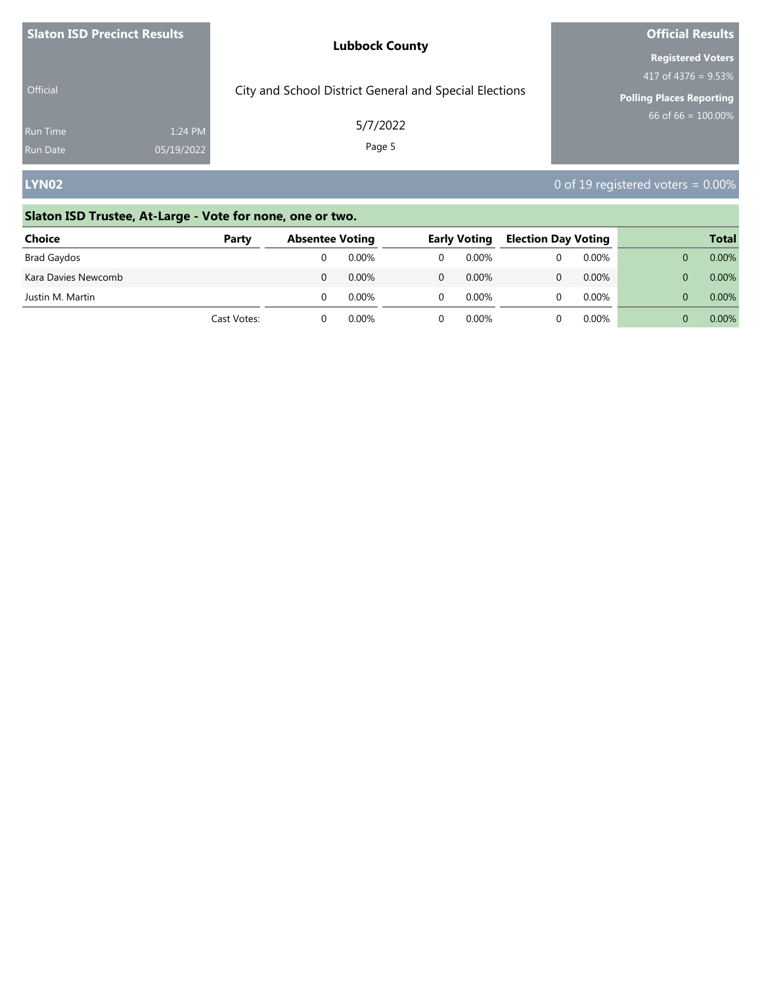| <b>Slaton ISD Precinct Results</b> |            | <b>Lubbock County</b>                                              | <b>Official Results</b><br><b>Registered Voters</b>                               |
|------------------------------------|------------|--------------------------------------------------------------------|-----------------------------------------------------------------------------------|
| Official<br><b>Run Time</b>        | 1:24 PM    | City and School District General and Special Elections<br>5/7/2022 | 417 of $4376 = 9.53\%$<br><b>Polling Places Reporting</b><br>$66$ of 66 = 100.00% |
| <b>Run Date</b>                    | 05/19/2022 | Page 5                                                             |                                                                                   |
| <b>LYN02</b>                       |            |                                                                    | 0 of 19 registered voters = $0.00\%$                                              |

| <b>Choice</b>       | Party       | <b>Absentee Voting</b> |          | <b>Early Voting</b> | <b>Election Day Voting</b> |          | <b>Total</b> |
|---------------------|-------------|------------------------|----------|---------------------|----------------------------|----------|--------------|
| Brad Gaydos         |             |                        | 0.00%    | 0.00%               |                            | 0.00%    | 0.00%        |
| Kara Davies Newcomb |             |                        | $0.00\%$ | $0.00\%$            |                            | $0.00\%$ | 0.00%        |
| Justin M. Martin    |             |                        | 0.00%    | 0.00%               |                            | $0.00\%$ | 0.00%        |
|                     | Cast Votes: |                        | 0.00%    | 0.00%               |                            | 0.00%    | 0.00%        |